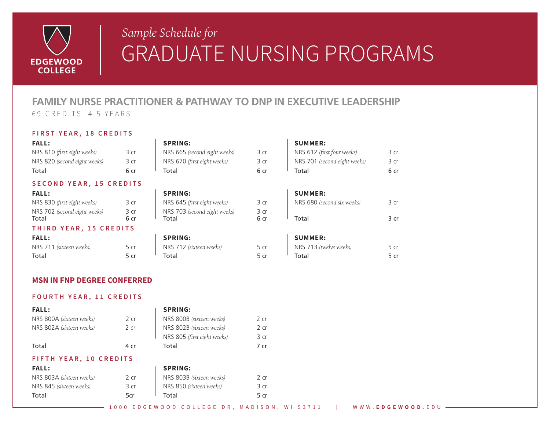

# *Sample Schedule for* GRADUATE NURSING PROGRAMS

## **FAMILY NURSE PRACTITIONER & PATHWAY TO DNP IN EXECUTIVE LEADERSHIP**

69 CREDITS, 4.5 YEARS

### **FIRST YEAR, 18 CREDITS**

|  | × |  |
|--|---|--|
|  |   |  |

| NRS 810 (first eight weeks)  | 3 cr | NRS 665 (second eight weeks) | NRS 612 (first four weeks)   | 3 cr |
|------------------------------|------|------------------------------|------------------------------|------|
| NRS 820 (second eight weeks) | З Cr | NRS 670 (first eight weeks)  | NRS 701 (second eight weeks) | 3 cr |
| Total                        |      | Total                        | Total                        | 6 cr |

### **SECOND YEAR, 15 CREDITS**

| <b>FALL:</b>                 |      | <b>SPRING:</b>               |      | <b>SUMMER:</b> |
|------------------------------|------|------------------------------|------|----------------|
| NRS 830 (first eight weeks)  | 3 cr | NRS 645 (first eight weeks)  | 3 cr | NRS 680 (se    |
| NRS 702 (second eight weeks) | 3 cr | NRS 703 (second eight weeks) | 3 cr |                |
| Total                        |      | Total                        | 6 cr | Total          |

### **THIRD YEAR, 15 CREDITS**

| <b>FALL:</b>            |      | <b>SPRING:</b>          |      | <b>SUMMER:</b>         |      |
|-------------------------|------|-------------------------|------|------------------------|------|
| NRS 711 (sixteen weeks) | 5 cr | NRS 712 (sixteen weeks) | 5 cr | NRS 713 (twelve weeks) | 5 cr |
| Total                   |      | Total                   |      | Total                  | 5 cr |

### **FALL: SPRING: SUMMER:**

| NRS 665 (second eight weeks) |  |
|------------------------------|--|
| NRS 670 (first eight weeks)  |  |
| Total                        |  |

| NRS 645 (first eight weeks)  |  |
|------------------------------|--|
| NRS 703 (second eight weeks) |  |
| Total                        |  |

| <b>SPRING:</b>          |      |
|-------------------------|------|
| NRS 712 (sixteen weeks) | 5 ci |
| Total                   | 5 ci |

| Total                        | 6 cr | Total                        |      | Total                        | 6 cr |
|------------------------------|------|------------------------------|------|------------------------------|------|
| NRS 820 (second eight weeks) |      | NRS 670 (first eight weeks)  | 3 cr | NRS 701 (second eight weeks) | 3 cr |
| NRS 810 (first eight weeks)  | ろ Cr | NRS 665 (second eight weeks) | 3 cr | NRS 612 (first four weeks)   | 3 cr |

| NRS 830 (first eight weeks)  | 3 cr | NRS 645 (first eight weeks)  | NRS 680 (second six weeks) | 3 cr |
|------------------------------|------|------------------------------|----------------------------|------|
| NRS 702 (second eight weeks) |      | NRS 703 (second eight weeks) |                            |      |
| Total                        |      | Total                        | Total                      | } cr |

| NRS 713 (twelve weeks) | 5 cr |
|------------------------|------|
| Total                  | 5 cr |

### **MSN IN FNP DEGREE CONFERRED**

### **FOURTH YEAR, 11 CREDITS**

| <b>FALL:</b>             |        | <b>SPRING:</b>              |        |
|--------------------------|--------|-----------------------------|--------|
| NRS 800A (sixteen weeks) | 2cr    | NRS 800B (sixteen weeks)    | $2$ cr |
| NRS 802A (sixteen weeks) | $2$ cr | NRS 802B (sixteen weeks)    | $2$ cr |
|                          |        | NRS 805 (first eight weeks) | 3 cr   |
| Total                    | 4 cr   | Total                       | 7 cr   |
| FIFTH YEAR, 10 CREDITS   |        |                             |        |
| <b>FALL:</b>             |        | <b>SPRING:</b>              |        |
| NRS 803A (sixteen weeks) | 2cr    | NRS 803B (sixteen weeks)    | $2$ cr |
| NRS 845 (sixteen weeks)  | 3 cr   | NRS 850 (sixteen weeks)     | 3 cr   |
| Total                    | 5cr    | Total                       | 5 cr   |